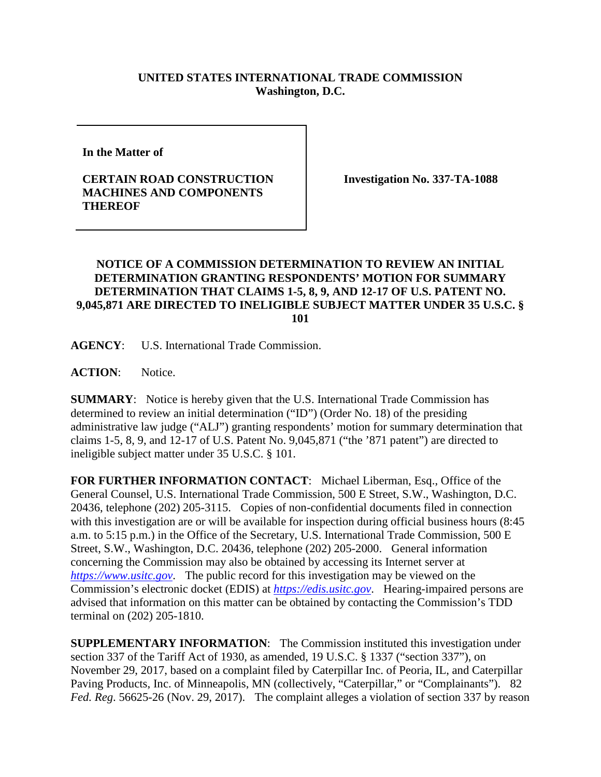## **UNITED STATES INTERNATIONAL TRADE COMMISSION Washington, D.C.**

**In the Matter of**

## **CERTAIN ROAD CONSTRUCTION MACHINES AND COMPONENTS THEREOF**

**Investigation No. 337-TA-1088**

## **NOTICE OF A COMMISSION DETERMINATION TO REVIEW AN INITIAL DETERMINATION GRANTING RESPONDENTS' MOTION FOR SUMMARY DETERMINATION THAT CLAIMS 1-5, 8, 9, AND 12-17 OF U.S. PATENT NO. 9,045,871 ARE DIRECTED TO INELIGIBLE SUBJECT MATTER UNDER 35 U.S.C. § 101**

**AGENCY**: U.S. International Trade Commission.

ACTION: Notice.

**SUMMARY**: Notice is hereby given that the U.S. International Trade Commission has determined to review an initial determination ("ID") (Order No. 18) of the presiding administrative law judge ("ALJ") granting respondents' motion for summary determination that claims 1-5, 8, 9, and 12-17 of U.S. Patent No. 9,045,871 ("the '871 patent") are directed to ineligible subject matter under 35 U.S.C. § 101.

**FOR FURTHER INFORMATION CONTACT**: Michael Liberman, Esq., Office of the General Counsel, U.S. International Trade Commission, 500 E Street, S.W., Washington, D.C. 20436, telephone (202) 205-3115. Copies of non-confidential documents filed in connection with this investigation are or will be available for inspection during official business hours (8:45 a.m. to 5:15 p.m.) in the Office of the Secretary, U.S. International Trade Commission, 500 E Street, S.W., Washington, D.C. 20436, telephone (202) 205-2000. General information concerning the Commission may also be obtained by accessing its Internet server at *[https://www.usitc.gov](https://www.usitc.gov/)*. The public record for this investigation may be viewed on the Commission's electronic docket (EDIS) at *[https://edis.usitc.gov](https://edis.usitc.gov/)*. Hearing-impaired persons are advised that information on this matter can be obtained by contacting the Commission's TDD terminal on (202) 205-1810.

**SUPPLEMENTARY INFORMATION**: The Commission instituted this investigation under section 337 of the Tariff Act of 1930, as amended, 19 U.S.C. § 1337 ("section 337"), on November 29, 2017, based on a complaint filed by Caterpillar Inc. of Peoria, IL, and Caterpillar Paving Products, Inc. of Minneapolis, MN (collectively, "Caterpillar," or "Complainants"). 82 *Fed. Reg*. 56625-26 (Nov. 29, 2017). The complaint alleges a violation of section 337 by reason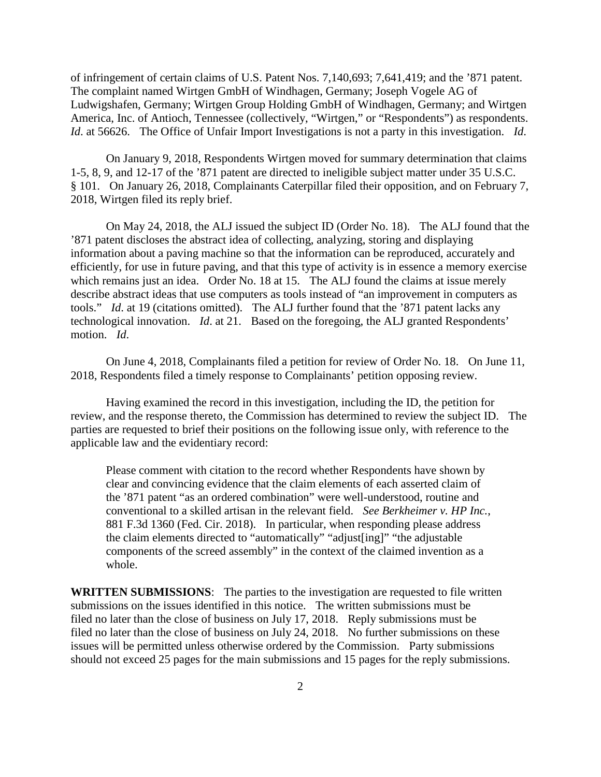of infringement of certain claims of U.S. Patent Nos. 7,140,693; 7,641,419; and the '871 patent. The complaint named Wirtgen GmbH of Windhagen, Germany; Joseph Vogele AG of Ludwigshafen, Germany; Wirtgen Group Holding GmbH of Windhagen, Germany; and Wirtgen America, Inc. of Antioch, Tennessee (collectively, "Wirtgen," or "Respondents") as respondents. *Id*. at 56626. The Office of Unfair Import Investigations is not a party in this investigation. *Id*.

On January 9, 2018, Respondents Wirtgen moved for summary determination that claims 1-5, 8, 9, and 12-17 of the '871 patent are directed to ineligible subject matter under 35 U.S.C. § 101. On January 26, 2018, Complainants Caterpillar filed their opposition, and on February 7, 2018, Wirtgen filed its reply brief.

On May 24, 2018, the ALJ issued the subject ID (Order No. 18). The ALJ found that the '871 patent discloses the abstract idea of collecting, analyzing, storing and displaying information about a paving machine so that the information can be reproduced, accurately and efficiently, for use in future paving, and that this type of activity is in essence a memory exercise which remains just an idea. Order No. 18 at 15. The ALJ found the claims at issue merely describe abstract ideas that use computers as tools instead of "an improvement in computers as tools." *Id*. at 19 (citations omitted). The ALJ further found that the '871 patent lacks any technological innovation. *Id*. at 21. Based on the foregoing, the ALJ granted Respondents' motion. *Id*.

On June 4, 2018, Complainants filed a petition for review of Order No. 18. On June 11, 2018, Respondents filed a timely response to Complainants' petition opposing review.

Having examined the record in this investigation, including the ID, the petition for review, and the response thereto, the Commission has determined to review the subject ID. The parties are requested to brief their positions on the following issue only, with reference to the applicable law and the evidentiary record:

Please comment with citation to the record whether Respondents have shown by clear and convincing evidence that the claim elements of each asserted claim of the '871 patent "as an ordered combination" were well-understood, routine and conventional to a skilled artisan in the relevant field. *See Berkheimer v. HP Inc.*, 881 F.3d 1360 (Fed. Cir. 2018). In particular, when responding please address the claim elements directed to "automatically" "adjust[ing]" "the adjustable components of the screed assembly" in the context of the claimed invention as a whole.

**WRITTEN SUBMISSIONS**: The parties to the investigation are requested to file written submissions on the issues identified in this notice. The written submissions must be filed no later than the close of business on July 17, 2018. Reply submissions must be filed no later than the close of business on July 24, 2018. No further submissions on these issues will be permitted unless otherwise ordered by the Commission. Party submissions should not exceed 25 pages for the main submissions and 15 pages for the reply submissions.